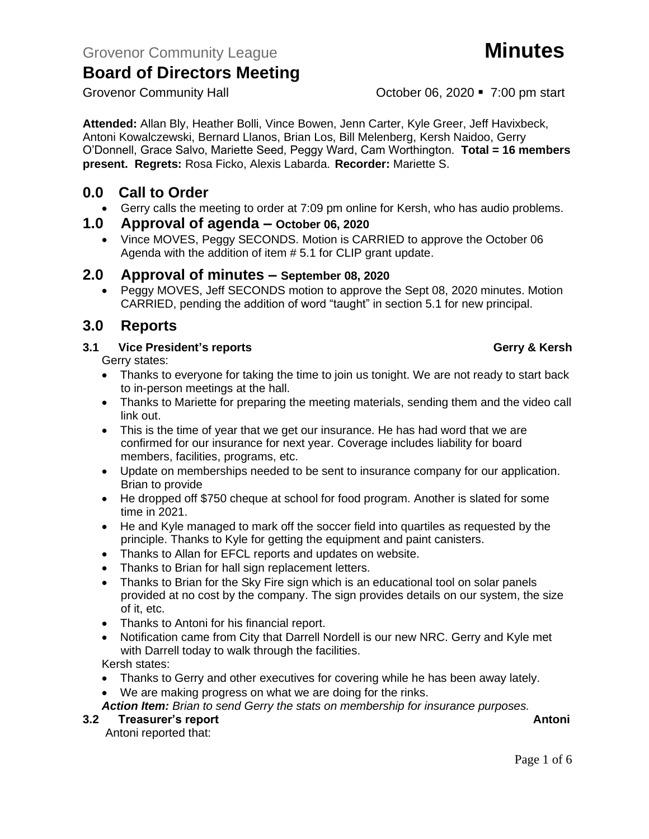Grovenor Community Hall **Community Hall** Cotober 06, 2020 **•** 7:00 pm start

**Attended:** Allan Bly, Heather Bolli, Vince Bowen, Jenn Carter, Kyle Greer, Jeff Havixbeck, Antoni Kowalczewski, Bernard Llanos, Brian Los, Bill Melenberg, Kersh Naidoo, Gerry O'Donnell, Grace Salvo, Mariette Seed, Peggy Ward, Cam Worthington. **Total = 16 members present. Regrets:** Rosa Ficko, Alexis Labarda. **Recorder:** Mariette S.

# **0.0 Call to Order**

• Gerry calls the meeting to order at 7:09 pm online for Kersh, who has audio problems.

## **1.0 Approval of agenda – October 06, 2020**

• Vince MOVES, Peggy SECONDS. Motion is CARRIED to approve the October 06 Agenda with the addition of item # 5.1 for CLIP grant update.

# **2.0 Approval of minutes – September 08, 2020**

• Peggy MOVES, Jeff SECONDS motion to approve the Sept 08, 2020 minutes. Motion CARRIED, pending the addition of word "taught" in section 5.1 for new principal.

# **3.0 Reports**

### **3.1 Vice President's reports Gerry & Kersh**

Gerry states:

- Thanks to everyone for taking the time to join us tonight. We are not ready to start back to in-person meetings at the hall.
- Thanks to Mariette for preparing the meeting materials, sending them and the video call link out.
- This is the time of year that we get our insurance. He has had word that we are confirmed for our insurance for next year. Coverage includes liability for board members, facilities, programs, etc.
- Update on memberships needed to be sent to insurance company for our application. Brian to provide
- He dropped off \$750 cheque at school for food program. Another is slated for some time in 2021.
- He and Kyle managed to mark off the soccer field into quartiles as requested by the principle. Thanks to Kyle for getting the equipment and paint canisters.
- Thanks to Allan for EFCL reports and updates on website.
- Thanks to Brian for hall sign replacement letters.
- Thanks to Brian for the Sky Fire sign which is an educational tool on solar panels provided at no cost by the company. The sign provides details on our system, the size of it, etc.
- Thanks to Antoni for his financial report.
- Notification came from City that Darrell Nordell is our new NRC. Gerry and Kyle met with Darrell today to walk through the facilities.

Kersh states:

- Thanks to Gerry and other executives for covering while he has been away lately.
- We are making progress on what we are doing for the rinks.

*Action Item: Brian to send Gerry the stats on membership for insurance purposes.*

**3.2 Freasurer's report Antonic Structure Antonic Structure Antonic Antonic Antoni** 

Antoni reported that: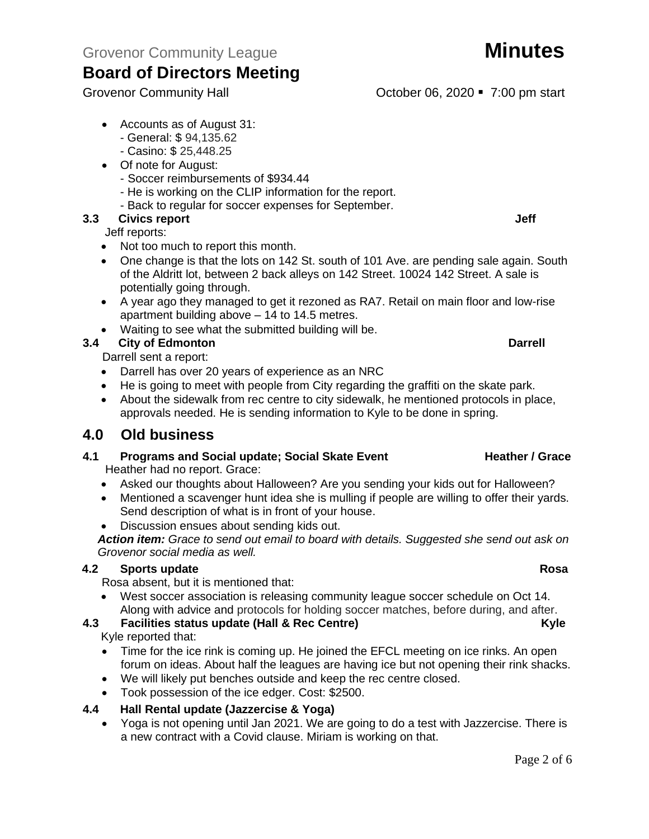- Accounts as of August 31:
	- General: \$ 94,135.62
	- Casino: \$ 25,448.25
- Of note for August:
	- Soccer reimbursements of \$934.44
	- He is working on the CLIP information for the report.
	- Back to regular for soccer expenses for September.

# **3.3** Civics report **Jeff Jeff**

Jeff reports:

- Not too much to report this month.
- One change is that the lots on 142 St. south of 101 Ave. are pending sale again. South of the Aldritt lot, between 2 back alleys on 142 Street. 10024 142 Street. A sale is potentially going through.
- A year ago they managed to get it rezoned as RA7. Retail on main floor and low-rise apartment building above – 14 to 14.5 metres.
- Waiting to see what the submitted building will be.

# **3.4 City of Edmonton Darrell**

Darrell sent a report:

- Darrell has over 20 years of experience as an NRC
- He is going to meet with people from City regarding the graffiti on the skate park.
- About the sidewalk from rec centre to city sidewalk, he mentioned protocols in place, approvals needed. He is sending information to Kyle to be done in spring.

# **4.0 Old business**

- **4.1** Programs and Social update; Social Skate Event **Heather / Grace** Heather had no report. Grace:
	- Asked our thoughts about Halloween? Are you sending your kids out for Halloween?
	- Mentioned a scavenger hunt idea she is mulling if people are willing to offer their yards. Send description of what is in front of your house.
	- Discussion ensues about sending kids out.

*Action item: Grace to send out email to board with details. Suggested she send out ask on Grovenor social media as well.* 

## **4.2 Sports update Rosa**

Rosa absent, but it is mentioned that:

• West soccer association is releasing community league soccer schedule on Oct 14. Along with advice and protocols for holding soccer matches, before during, and after.

## **4.3 Facilities status update (Hall & Rec Centre) Kyle**

Kyle reported that:

- Time for the ice rink is coming up. He joined the EFCL meeting on ice rinks. An open forum on ideas. About half the leagues are having ice but not opening their rink shacks.
- We will likely put benches outside and keep the rec centre closed.
- Took possession of the ice edger. Cost: \$2500.

## **4.4 Hall Rental update (Jazzercise & Yoga)**

• Yoga is not opening until Jan 2021. We are going to do a test with Jazzercise. There is a new contract with a Covid clause. Miriam is working on that.

# Grovenor Community Hall **Community Hall** Corober 06, 2020 **•** 7:00 pm start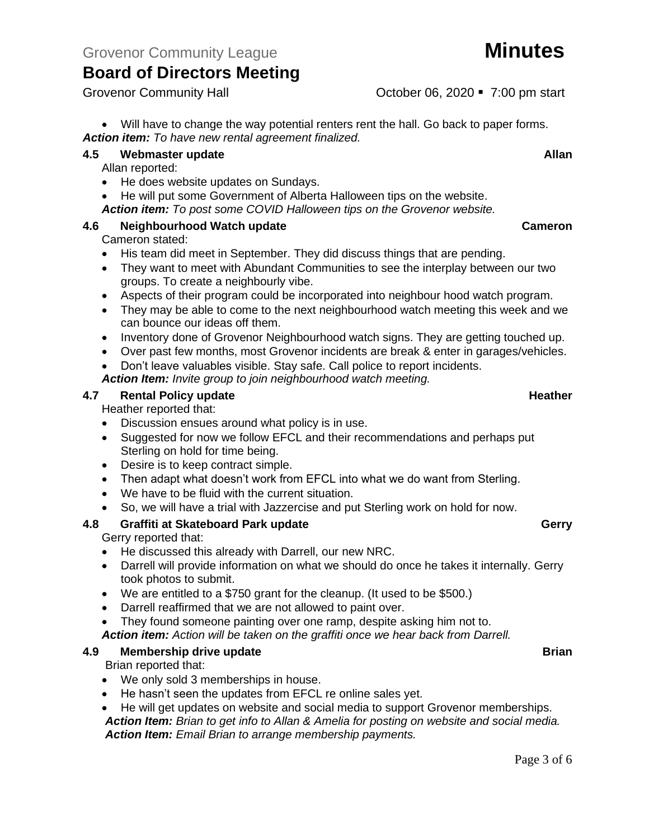• Will have to change the way potential renters rent the hall. Go back to paper forms.

*Action item: To have new rental agreement finalized.*

## **4.5 Webmaster update Allan**

Allan reported:

- He does website updates on Sundays.
- He will put some Government of Alberta Halloween tips on the website.
- *Action item: To post some COVID Halloween tips on the Grovenor website.*

## **4.6 Neighbourhood Watch update Cameron**

### Cameron stated:

- His team did meet in September. They did discuss things that are pending.
- They want to meet with Abundant Communities to see the interplay between our two groups. To create a neighbourly vibe.
- Aspects of their program could be incorporated into neighbour hood watch program.
- They may be able to come to the next neighbourhood watch meeting this week and we can bounce our ideas off them.
- Inventory done of Grovenor Neighbourhood watch signs. They are getting touched up.
- Over past few months, most Grovenor incidents are break & enter in garages/vehicles.

• Don't leave valuables visible. Stay safe. Call police to report incidents. *Action Item: Invite group to join neighbourhood watch meeting.*

### **4.7 Rental Policy update Heather Heather Heather Heather**

Heather reported that:

- Discussion ensues around what policy is in use.
- Suggested for now we follow EFCL and their recommendations and perhaps put Sterling on hold for time being.
- Desire is to keep contract simple.
- Then adapt what doesn't work from EFCL into what we do want from Sterling.
- We have to be fluid with the current situation.
- So, we will have a trial with Jazzercise and put Sterling work on hold for now.

# **4.8 Graffiti at Skateboard Park update Gerry**

### Gerry reported that:

- He discussed this already with Darrell, our new NRC.
- Darrell will provide information on what we should do once he takes it internally. Gerry took photos to submit.
- We are entitled to a \$750 grant for the cleanup. (It used to be \$500.)
- Darrell reaffirmed that we are not allowed to paint over.
- They found someone painting over one ramp, despite asking him not to.
- *Action item: Action will be taken on the graffiti once we hear back from Darrell.*

### **4.9 Membership drive update Brian**

Brian reported that:

- We only sold 3 memberships in house.
- He hasn't seen the updates from EFCL re online sales yet.
- He will get updates on website and social media to support Grovenor memberships. *Action Item: Brian to get info to Allan & Amelia for posting on website and social media. Action Item: Email Brian to arrange membership payments.*

Grovenor Community Hall **Community Hall** Corober 06, 2020 **•** 7:00 pm start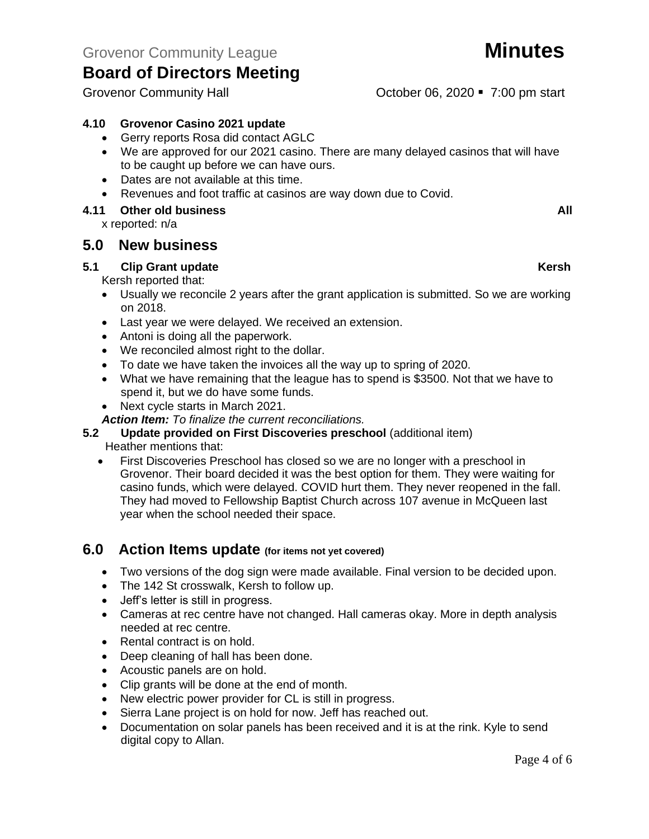### **4.10 Grovenor Casino 2021 update**

- Gerry reports Rosa did contact AGLC
- We are approved for our 2021 casino. There are many delayed casinos that will have to be caught up before we can have ours.
- Dates are not available at this time.
- Revenues and foot traffic at casinos are way down due to Covid.

#### **4.11 Other old business All**

x reported: n/a

## **5.0 New business**

#### **5.1 Clip Grant update Kersh**

Kersh reported that:

- Usually we reconcile 2 years after the grant application is submitted. So we are working on 2018.
- Last year we were delayed. We received an extension.
- Antoni is doing all the paperwork.
- We reconciled almost right to the dollar.
- To date we have taken the invoices all the way up to spring of 2020.
- What we have remaining that the league has to spend is \$3500. Not that we have to spend it, but we do have some funds.
- Next cycle starts in March 2021.
- *Action Item: To finalize the current reconciliations.*

### **5.2 Update provided on First Discoveries preschool** (additional item)

Heather mentions that:

• First Discoveries Preschool has closed so we are no longer with a preschool in Grovenor. Their board decided it was the best option for them. They were waiting for casino funds, which were delayed. COVID hurt them. They never reopened in the fall. They had moved to Fellowship Baptist Church across 107 avenue in McQueen last year when the school needed their space.

## **6.0 Action Items update (for items not yet covered)**

- Two versions of the dog sign were made available. Final version to be decided upon.
- The 142 St crosswalk, Kersh to follow up.
- Jeff's letter is still in progress.
- Cameras at rec centre have not changed. Hall cameras okay. More in depth analysis needed at rec centre.
- Rental contract is on hold.
- Deep cleaning of hall has been done.
- Acoustic panels are on hold.
- Clip grants will be done at the end of month.
- New electric power provider for CL is still in progress.
- Sierra Lane project is on hold for now. Jeff has reached out.
- Documentation on solar panels has been received and it is at the rink. Kyle to send digital copy to Allan.

Grovenor Community Hall **Community Hall** Cotober 06, 2020 • 7:00 pm start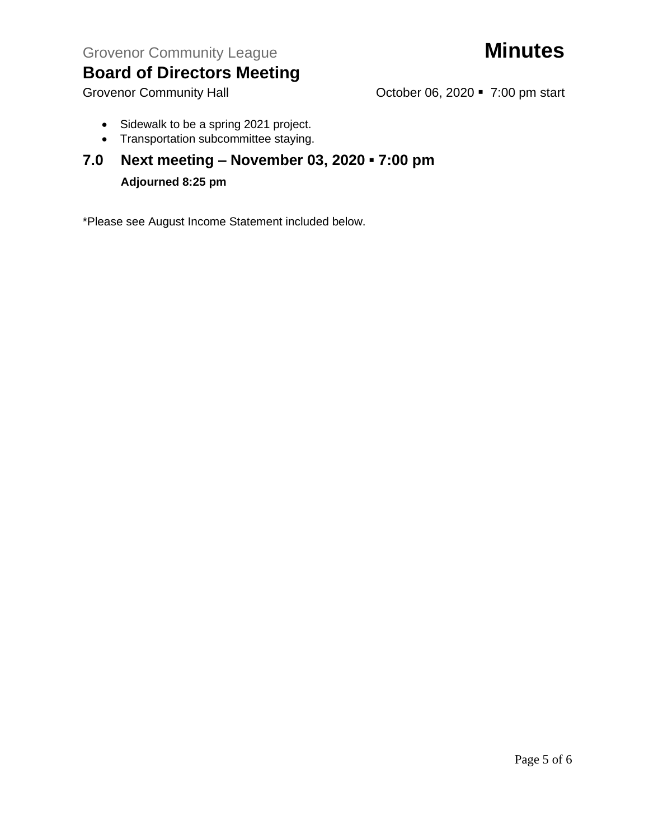- Sidewalk to be a spring 2021 project.
- Transportation subcommittee staying.

# **7.0 Next meeting – November 03, 2020 ▪ 7:00 pm Adjourned 8:25 pm**

\*Please see August Income Statement included below.